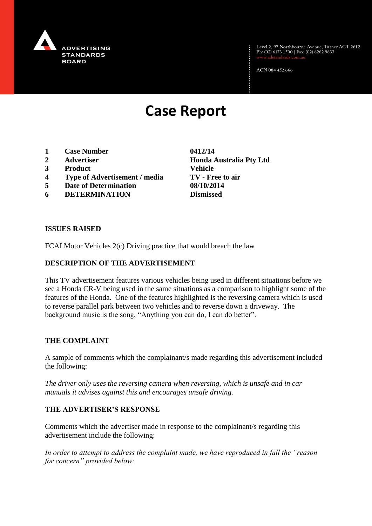

Level 2, 97 Northbourne Avenue, Turner ACT 2612<br>Ph: (02) 6173 1500 | Fax: (02) 6262 9833

ACN 084 452 666

# **Case Report**

- **1 Case Number 0412/14**
- 
- **3 Product Vehicle**
- **4 Type of Advertisement / media TV - Free to air**
- **5 Date of Determination 08/10/2014**
- **6 DETERMINATION Dismissed**

**2 Advertiser Honda Australia Pty Ltd**

#### **ISSUES RAISED**

FCAI Motor Vehicles 2(c) Driving practice that would breach the law

### **DESCRIPTION OF THE ADVERTISEMENT**

This TV advertisement features various vehicles being used in different situations before we see a Honda CR-V being used in the same situations as a comparison to highlight some of the features of the Honda. One of the features highlighted is the reversing camera which is used to reverse parallel park between two vehicles and to reverse down a driveway. The background music is the song, "Anything you can do, I can do better".

### **THE COMPLAINT**

A sample of comments which the complainant/s made regarding this advertisement included the following:

*The driver only uses the reversing camera when reversing, which is unsafe and in car manuals it advises against this and encourages unsafe driving.*

## **THE ADVERTISER'S RESPONSE**

Comments which the advertiser made in response to the complainant/s regarding this advertisement include the following:

*In order to attempt to address the complaint made, we have reproduced in full the "reason for concern" provided below:*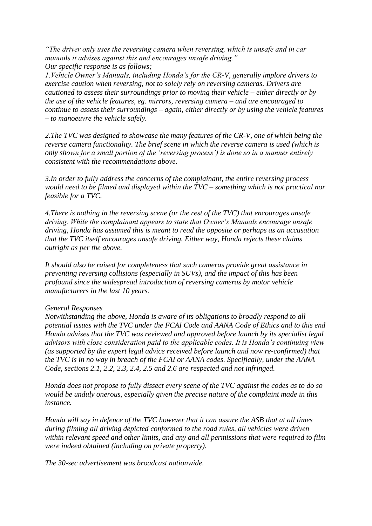*"The driver only uses the reversing camera when reversing, which is unsafe and in car manuals it advises against this and encourages unsafe driving." Our specific response is as follows;*

*1.Vehicle Owner's Manuals, including Honda's for the CR-V, generally implore drivers to exercise caution when reversing, not to solely rely on reversing cameras. Drivers are cautioned to assess their surroundings prior to moving their vehicle – either directly or by the use of the vehicle features, eg. mirrors, reversing camera – and are encouraged to continue to assess their surroundings – again, either directly or by using the vehicle features – to manoeuvre the vehicle safely.*

*2.The TVC was designed to showcase the many features of the CR-V, one of which being the reverse camera functionality. The brief scene in which the reverse camera is used (which is only shown for a small portion of the 'reversing process') is done so in a manner entirely consistent with the recommendations above.*

*3.In order to fully address the concerns of the complainant, the entire reversing process would need to be filmed and displayed within the TVC – something which is not practical nor feasible for a TVC.*

*4.There is nothing in the reversing scene (or the rest of the TVC) that encourages unsafe driving. While the complainant appears to state that Owner's Manuals encourage unsafe driving, Honda has assumed this is meant to read the opposite or perhaps as an accusation that the TVC itself encourages unsafe driving. Either way, Honda rejects these claims outright as per the above.*

*It should also be raised for completeness that such cameras provide great assistance in preventing reversing collisions (especially in SUVs), and the impact of this has been profound since the widespread introduction of reversing cameras by motor vehicle manufacturers in the last 10 years.*

### *General Responses*

*Notwithstanding the above, Honda is aware of its obligations to broadly respond to all potential issues with the TVC under the FCAI Code and AANA Code of Ethics and to this end Honda advises that the TVC was reviewed and approved before launch by its specialist legal advisors with close consideration paid to the applicable codes. It is Honda's continuing view (as supported by the expert legal advice received before launch and now re-confirmed) that the TVC is in no way in breach of the FCAI or AANA codes. Specifically, under the AANA Code, sections 2.1, 2.2, 2.3, 2.4, 2.5 and 2.6 are respected and not infringed.*

*Honda does not propose to fully dissect every scene of the TVC against the codes as to do so would be unduly onerous, especially given the precise nature of the complaint made in this instance.*

*Honda will say in defence of the TVC however that it can assure the ASB that at all times during filming all driving depicted conformed to the road rules, all vehicles were driven within relevant speed and other limits, and any and all permissions that were required to film were indeed obtained (including on private property).*

*The 30-sec advertisement was broadcast nationwide.*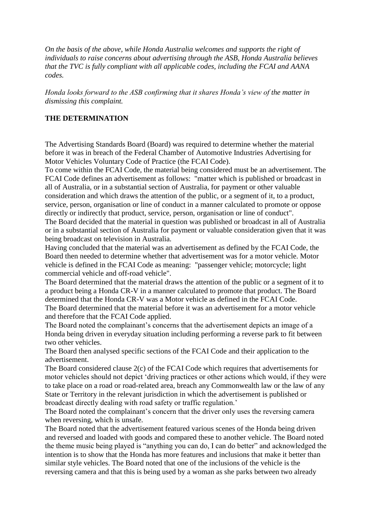*On the basis of the above, while Honda Australia welcomes and supports the right of individuals to raise concerns about advertising through the ASB, Honda Australia believes that the TVC is fully compliant with all applicable codes, including the FCAI and AANA codes.*

*Honda looks forward to the ASB confirming that it shares Honda's view of the matter in dismissing this complaint.*

### **THE DETERMINATION**

The Advertising Standards Board (Board) was required to determine whether the material before it was in breach of the Federal Chamber of Automotive Industries Advertising for Motor Vehicles Voluntary Code of Practice (the FCAI Code).

To come within the FCAI Code, the material being considered must be an advertisement. The FCAI Code defines an advertisement as follows: "matter which is published or broadcast in all of Australia, or in a substantial section of Australia, for payment or other valuable consideration and which draws the attention of the public, or a segment of it, to a product, service, person, organisation or line of conduct in a manner calculated to promote or oppose directly or indirectly that product, service, person, organisation or line of conduct".

The Board decided that the material in question was published or broadcast in all of Australia or in a substantial section of Australia for payment or valuable consideration given that it was being broadcast on television in Australia.

Having concluded that the material was an advertisement as defined by the FCAI Code, the Board then needed to determine whether that advertisement was for a motor vehicle. Motor vehicle is defined in the FCAI Code as meaning: "passenger vehicle; motorcycle; light commercial vehicle and off-road vehicle".

The Board determined that the material draws the attention of the public or a segment of it to a product being a Honda CR-V in a manner calculated to promote that product. The Board determined that the Honda CR-V was a Motor vehicle as defined in the FCAI Code.

The Board determined that the material before it was an advertisement for a motor vehicle and therefore that the FCAI Code applied.

The Board noted the complainant's concerns that the advertisement depicts an image of a Honda being driven in everyday situation including performing a reverse park to fit between two other vehicles.

The Board then analysed specific sections of the FCAI Code and their application to the advertisement.

The Board considered clause 2(c) of the FCAI Code which requires that advertisements for motor vehicles should not depict 'driving practices or other actions which would, if they were to take place on a road or road-related area, breach any Commonwealth law or the law of any State or Territory in the relevant jurisdiction in which the advertisement is published or broadcast directly dealing with road safety or traffic regulation.'

The Board noted the complainant's concern that the driver only uses the reversing camera when reversing, which is unsafe.

The Board noted that the advertisement featured various scenes of the Honda being driven and reversed and loaded with goods and compared these to another vehicle. The Board noted the theme music being played is "anything you can do, I can do better" and acknowledged the intention is to show that the Honda has more features and inclusions that make it better than similar style vehicles. The Board noted that one of the inclusions of the vehicle is the reversing camera and that this is being used by a woman as she parks between two already